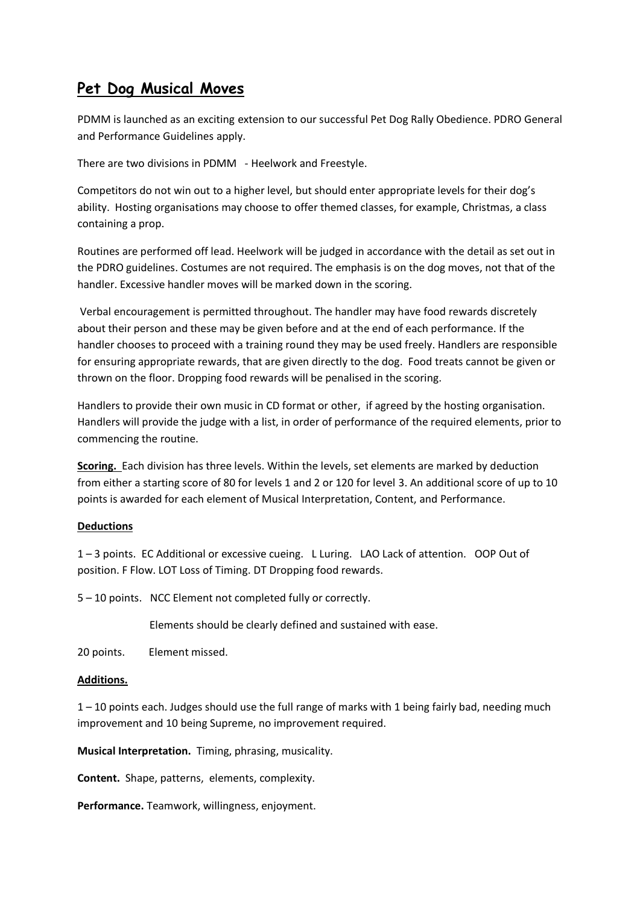## **Pet Dog Musical Moves**

PDMM is launched as an exciting extension to our successful Pet Dog Rally Obedience. PDRO General and Performance Guidelines apply.

There are two divisions in PDMM - Heelwork and Freestyle.

Competitors do not win out to a higher level, but should enter appropriate levels for their dog's ability. Hosting organisations may choose to offer themed classes, for example, Christmas, a class containing a prop.

Routines are performed off lead. Heelwork will be judged in accordance with the detail as set out in the PDRO guidelines. Costumes are not required. The emphasis is on the dog moves, not that of the handler. Excessive handler moves will be marked down in the scoring.

Verbal encouragement is permitted throughout. The handler may have food rewards discretely about their person and these may be given before and at the end of each performance. If the handler chooses to proceed with a training round they may be used freely. Handlers are responsible for ensuring appropriate rewards, that are given directly to the dog. Food treats cannot be given or thrown on the floor. Dropping food rewards will be penalised in the scoring.

Handlers to provide their own music in CD format or other, if agreed by the hosting organisation. Handlers will provide the judge with a list, in order of performance of the required elements, prior to commencing the routine.

**Scoring.** Each division has three levels. Within the levels, set elements are marked by deduction from either a starting score of 80 for levels 1 and 2 or 120 for level 3. An additional score of up to 10 points is awarded for each element of Musical Interpretation, Content, and Performance.

## **Deductions**

1 – 3 points. EC Additional or excessive cueing. L Luring. LAO Lack of attention. OOP Out of position. F Flow. LOT Loss of Timing. DT Dropping food rewards.

5 – 10 points. NCC Element not completed fully or correctly.

Elements should be clearly defined and sustained with ease.

20 points. Element missed.

### **Additions.**

1 – 10 points each. Judges should use the full range of marks with 1 being fairly bad, needing much improvement and 10 being Supreme, no improvement required.

**Musical Interpretation.** Timing, phrasing, musicality.

**Content.** Shape, patterns, elements, complexity.

**Performance.** Teamwork, willingness, enjoyment.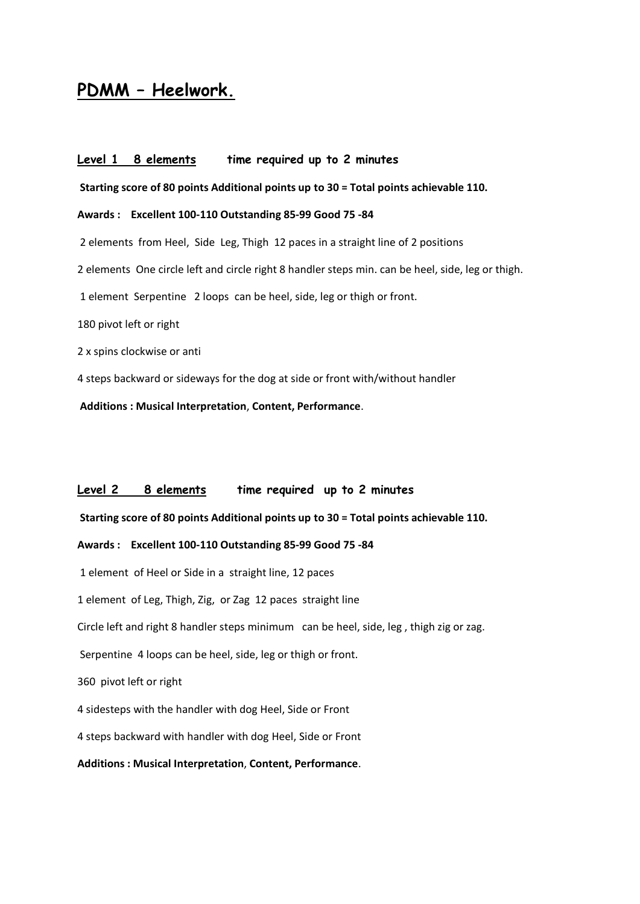# **PDMM – Heelwork.**

Level 1 8 elements time required up to 2 minutes **Starting score of 80 points Additional points up to 30 = Total points achievable 110. Awards : Excellent 100-110 Outstanding 85-99 Good 75 -84**  2 elements from Heel, Side Leg, Thigh 12 paces in a straight line of 2 positions 2 elements One circle left and circle right 8 handler steps min. can be heel, side, leg or thigh. 1 element Serpentine 2 loops can be heel, side, leg or thigh or front. 180 pivot left or right 2 x spins clockwise or anti 4 steps backward or sideways for the dog at side or front with/without handler

**Additions : Musical Interpretation**, **Content, Performance**.

### **Level 2 8 elements time required up to 2 minutes**

**Starting score of 80 points Additional points up to 30 = Total points achievable 110.** 

#### **Awards : Excellent 100-110 Outstanding 85-99 Good 75 -84**

1 elementof Heel or Side in a straight line, 12 paces

1 elementof Leg, Thigh, Zig, or Zag 12 paces straight line

Circle left and right 8 handler steps minimum can be heel, side, leg , thigh zig or zag.

Serpentine 4 loops can be heel, side, leg or thigh or front.

360 pivot left or right

4 sidesteps with the handler with dog Heel, Side or Front

4 steps backward with handler with dog Heel, Side or Front

#### **Additions : Musical Interpretation**, **Content, Performance**.